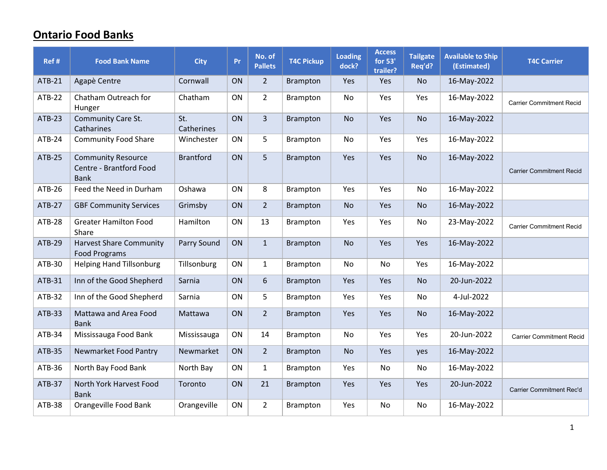## Ontario Food Banks

| Ref #         | <b>Food Bank Name</b>                                               | <b>City</b>       | Pr        | No. of<br><b>Pallets</b> | <b>T4C Pickup</b> | Loading<br>dock? | <b>Access</b><br>for 53'<br>trailer? | <b>Tailgate</b><br>Req'd? | <b>Available to Ship</b><br>(Estimated) | <b>T4C Carrier</b>              |
|---------------|---------------------------------------------------------------------|-------------------|-----------|--------------------------|-------------------|------------------|--------------------------------------|---------------------------|-----------------------------------------|---------------------------------|
| <b>ATB-21</b> | Agapè Centre                                                        | Cornwall          | ON        | $2^{\circ}$              | <b>Brampton</b>   | Yes              | Yes                                  | No.                       | 16-May-2022                             |                                 |
| <b>ATB-22</b> | Chatham Outreach for<br>Hunger                                      | Chatham           | ON        | $\overline{2}$           | Brampton          | No               | Yes                                  | Yes                       | 16-May-2022                             | <b>Carrier Commitment Recid</b> |
| <b>ATB-23</b> | <b>Community Care St.</b><br>Catharines                             | St.<br>Catherines | ON        | $\overline{3}$           | <b>Brampton</b>   | <b>No</b>        | Yes                                  | <b>No</b>                 | 16-May-2022                             |                                 |
| ATB-24        | <b>Community Food Share</b>                                         | Winchester        | ON        | 5                        | Brampton          | No               | Yes                                  | Yes                       | 16-May-2022                             |                                 |
| <b>ATB-25</b> | <b>Community Resource</b><br>Centre - Brantford Food<br><b>Bank</b> | <b>Brantford</b>  | ON        | 5                        | <b>Brampton</b>   | Yes              | Yes                                  | <b>No</b>                 | 16-May-2022                             | <b>Carrier Commitment Recid</b> |
| ATB-26        | Feed the Need in Durham                                             | Oshawa            | ON        | 8                        | <b>Brampton</b>   | Yes              | Yes                                  | No                        | 16-May-2022                             |                                 |
| <b>ATB-27</b> | <b>GBF Community Services</b>                                       | Grimsby           | ON        | $2^{\circ}$              | <b>Brampton</b>   | <b>No</b>        | Yes                                  | <b>No</b>                 | 16-May-2022                             |                                 |
| ATB-28        | <b>Greater Hamilton Food</b><br>Share                               | Hamilton          | ON        | 13                       | <b>Brampton</b>   | Yes              | Yes                                  | No                        | 23-May-2022                             | <b>Carrier Commitment Recid</b> |
| ATB-29        | <b>Harvest Share Community</b><br><b>Food Programs</b>              | Parry Sound       | <b>ON</b> | $\mathbf{1}$             | <b>Brampton</b>   | <b>No</b>        | Yes                                  | Yes                       | 16-May-2022                             |                                 |
| ATB-30        | <b>Helping Hand Tillsonburg</b>                                     | Tillsonburg       | <b>ON</b> | $\mathbf{1}$             | <b>Brampton</b>   | No.              | No.                                  | Yes                       | 16-May-2022                             |                                 |
| ATB-31        | Inn of the Good Shepherd                                            | Sarnia            | ON        | 6                        | <b>Brampton</b>   | Yes              | Yes                                  | No                        | 20-Jun-2022                             |                                 |
| <b>ATB-32</b> | Inn of the Good Shepherd                                            | Sarnia            | ON        | 5                        | Brampton          | Yes              | Yes                                  | No                        | 4-Jul-2022                              |                                 |
| ATB-33        | Mattawa and Area Food<br><b>Bank</b>                                | Mattawa           | ON        | $2^{\circ}$              | <b>Brampton</b>   | Yes              | Yes                                  | <b>No</b>                 | 16-May-2022                             |                                 |
| ATB-34        | Mississauga Food Bank                                               | Mississauga       | <b>ON</b> | 14                       | Brampton          | No               | Yes                                  | Yes                       | 20-Jun-2022                             | <b>Carrier Commitment Recid</b> |
| <b>ATB-35</b> | Newmarket Food Pantry                                               | Newmarket         | ON        | $2^{\circ}$              | <b>Brampton</b>   | No               | Yes                                  | yes                       | 16-May-2022                             |                                 |
| ATB-36        | North Bay Food Bank                                                 | North Bay         | ON        | $\mathbf{1}$             | <b>Brampton</b>   | Yes              | No                                   | No                        | 16-May-2022                             |                                 |
| ATB-37        | North York Harvest Food<br><b>Bank</b>                              | Toronto           | ON        | 21                       | <b>Brampton</b>   | Yes              | Yes                                  | Yes                       | 20-Jun-2022                             | <b>Carrier Commitment Rec'd</b> |
| ATB-38        | Orangeville Food Bank                                               | Orangeville       | ON        | $\overline{2}$           | <b>Brampton</b>   | Yes              | No                                   | No                        | 16-May-2022                             |                                 |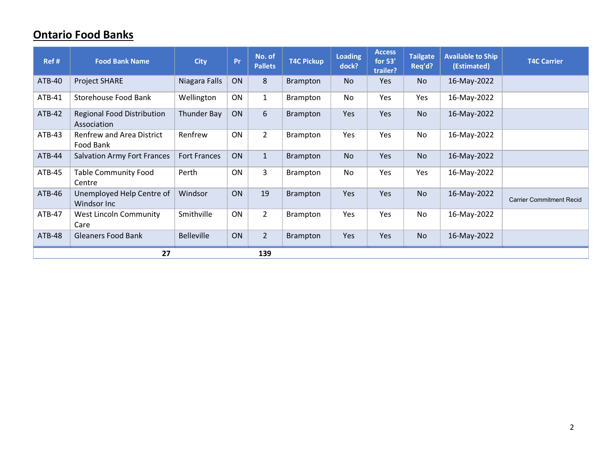## Ontario Food Banks

| Ref #         | <b>Food Bank Name</b>                            | <b>City</b>         | Pr        | No. of<br><b>Pallets</b> | <b>T4C Pickup</b> | <b>Loading</b><br>dock? | <b>Access</b><br>for 53'<br>trailer? | <b>Tailgate</b><br>Req'd? | <b>Available to Ship</b><br>(Estimated) | <b>T4C Carrier</b>              |  |  |
|---------------|--------------------------------------------------|---------------------|-----------|--------------------------|-------------------|-------------------------|--------------------------------------|---------------------------|-----------------------------------------|---------------------------------|--|--|
| <b>ATB-40</b> | <b>Project SHARE</b>                             | Niagara Falls       | <b>ON</b> | 8                        | <b>Brampton</b>   | <b>No</b>               | Yes                                  | <b>No</b>                 | 16-May-2022                             |                                 |  |  |
| ATB-41        | <b>Storehouse Food Bank</b>                      | Wellington          | ON        | $\mathbf{1}$             | <b>Brampton</b>   | No                      | Yes                                  | Yes                       | 16-May-2022                             |                                 |  |  |
| <b>ATB-42</b> | <b>Regional Food Distribution</b><br>Association | Thunder Bay         | ON        | 6                        | <b>Brampton</b>   | Yes                     | Yes                                  | <b>No</b>                 | 16-May-2022                             |                                 |  |  |
| $ATB-43$      | <b>Renfrew and Area District</b><br>Food Bank    | Renfrew             | ON        | $\overline{2}$           | <b>Brampton</b>   | Yes                     | Yes                                  | No                        | 16-May-2022                             |                                 |  |  |
| ATB-44        | <b>Salvation Army Fort Frances</b>               | <b>Fort Frances</b> | ON        | $\mathbf{1}$             | <b>Brampton</b>   | <b>No</b>               | Yes                                  | <b>No</b>                 | 16-May-2022                             |                                 |  |  |
| ATB-45        | <b>Table Community Food</b><br>Centre            | Perth               | ON        | 3                        | <b>Brampton</b>   | No                      | Yes                                  | Yes                       | 16-May-2022                             |                                 |  |  |
| ATB-46        | Unemployed Help Centre of<br>Windsor Inc         | Windsor             | ON        | 19                       | <b>Brampton</b>   | Yes                     | Yes                                  | <b>No</b>                 | 16-May-2022                             | <b>Carrier Commitment Recid</b> |  |  |
| ATB-47        | West Lincoln Community<br>Care                   | Smithville          | ON        | $\overline{2}$           | <b>Brampton</b>   | Yes                     | <b>Yes</b>                           | No                        | 16-May-2022                             |                                 |  |  |
| <b>ATB-48</b> | <b>Gleaners Food Bank</b>                        | <b>Belleville</b>   | ON        | $2^{\circ}$              | <b>Brampton</b>   | Yes                     | Yes                                  | <b>No</b>                 | 16-May-2022                             |                                 |  |  |
|               | 27<br>139                                        |                     |           |                          |                   |                         |                                      |                           |                                         |                                 |  |  |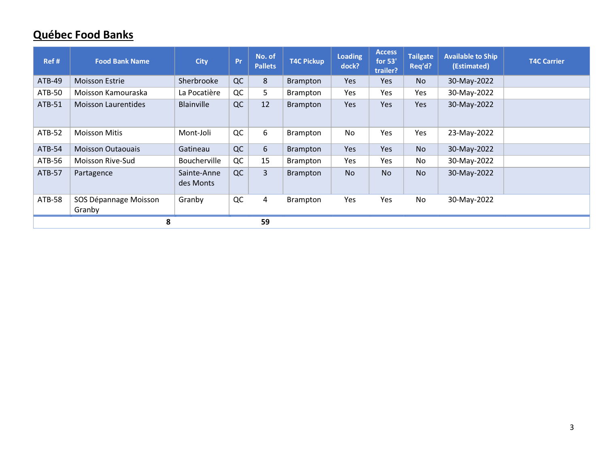## Québec Food Banks

| Ref #         | <b>Food Bank Name</b>           | <b>City</b>              | Pr | No. of<br><b>Pallets</b> | <b>T4C Pickup</b> | <b>Loading</b><br>dock? | <b>Access</b><br>for 53'<br>trailer? | <b>Tailgate</b><br>Req'd? | <b>Available to Ship</b><br>(Estimated) | <b>T4C Carrier</b> |
|---------------|---------------------------------|--------------------------|----|--------------------------|-------------------|-------------------------|--------------------------------------|---------------------------|-----------------------------------------|--------------------|
| <b>ATB-49</b> | <b>Moisson Estrie</b>           | Sherbrooke               | QC | 8                        | <b>Brampton</b>   | Yes                     | Yes                                  | <b>No</b>                 | 30-May-2022                             |                    |
| ATB-50        | Moisson Kamouraska              | La Pocatière             | QC | 5                        | <b>Brampton</b>   | Yes                     | Yes                                  | Yes                       | 30-May-2022                             |                    |
| ATB-51        | <b>Moisson Laurentides</b>      | Blainville               | QC | 12                       | <b>Brampton</b>   | Yes                     | Yes                                  | Yes                       | 30-May-2022                             |                    |
| <b>ATB-52</b> | <b>Moisson Mitis</b>            | Mont-Joli                | QC | 6                        | <b>Brampton</b>   | No                      | Yes                                  | Yes                       | 23-May-2022                             |                    |
| ATB-54        | <b>Moisson Outaouais</b>        | Gatineau                 | QC | 6                        | <b>Brampton</b>   | Yes                     | Yes                                  | <b>No</b>                 | 30-May-2022                             |                    |
| ATB-56        | Moisson Rive-Sud                | Boucherville             | QC | 15                       | <b>Brampton</b>   | Yes                     | Yes                                  | No                        | 30-May-2022                             |                    |
| ATB-57        | Partagence                      | Sainte-Anne<br>des Monts | QC | 3                        | <b>Brampton</b>   | <b>No</b>               | <b>No</b>                            | <b>No</b>                 | 30-May-2022                             |                    |
| ATB-58        | SOS Dépannage Moisson<br>Granby | Granby                   | QC | 4                        | <b>Brampton</b>   | Yes                     | Yes                                  | No                        | 30-May-2022                             |                    |
|               | 8                               |                          |    | 59                       |                   |                         |                                      |                           |                                         |                    |